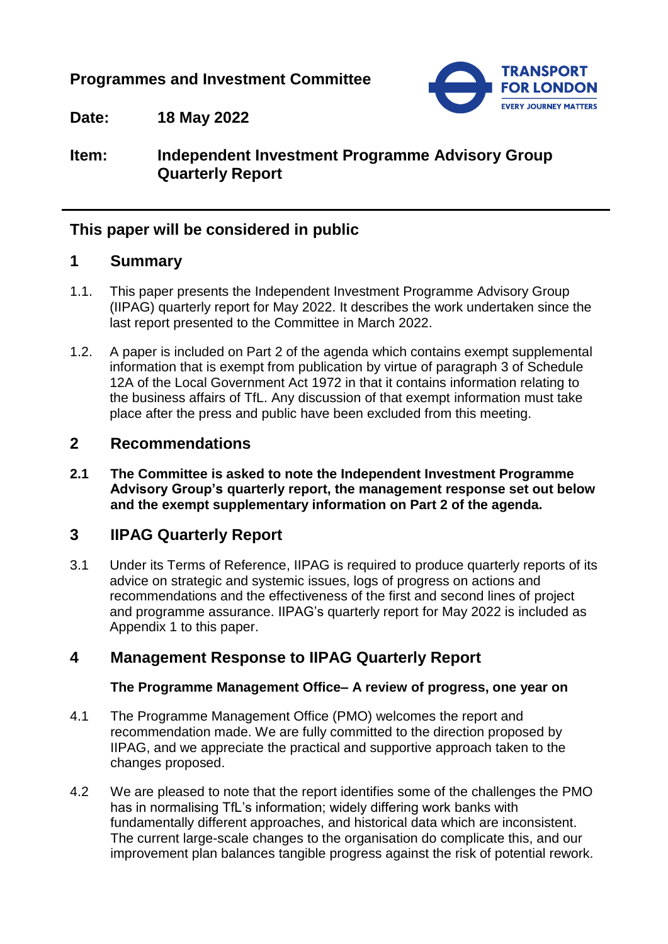# **Programmes and Investment Committee**



**Date: 18 May 2022**

# **Item: Independent Investment Programme Advisory Group Quarterly Report**

# **This paper will be considered in public**

## **1 Summary**

- 1.1. This paper presents the Independent Investment Programme Advisory Group (IIPAG) quarterly report for May 2022. It describes the work undertaken since the last report presented to the Committee in March 2022.
- 1.2. A paper is included on Part 2 of the agenda which contains exempt supplemental information that is exempt from publication by virtue of paragraph 3 of Schedule 12A of the Local Government Act 1972 in that it contains information relating to the business affairs of TfL. Any discussion of that exempt information must take place after the press and public have been excluded from this meeting.

## **2 Recommendations**

**2.1 The Committee is asked to note the Independent Investment Programme Advisory Group's quarterly report, the management response set out below and the exempt supplementary information on Part 2 of the agenda.**

# **3 IIPAG Quarterly Report**

3.1 Under its Terms of Reference, IIPAG is required to produce quarterly reports of its advice on strategic and systemic issues, logs of progress on actions and recommendations and the effectiveness of the first and second lines of project and programme assurance. IIPAG's quarterly report for May 2022 is included as Appendix 1 to this paper.

## **4 Management Response to IIPAG Quarterly Report**

#### **The Programme Management Office– A review of progress, one year on**

- 4.1 The Programme Management Office (PMO) welcomes the report and recommendation made. We are fully committed to the direction proposed by IIPAG, and we appreciate the practical and supportive approach taken to the changes proposed.
- 4.2 We are pleased to note that the report identifies some of the challenges the PMO has in normalising TfL's information; widely differing work banks with fundamentally different approaches, and historical data which are inconsistent. The current large-scale changes to the organisation do complicate this, and our improvement plan balances tangible progress against the risk of potential rework.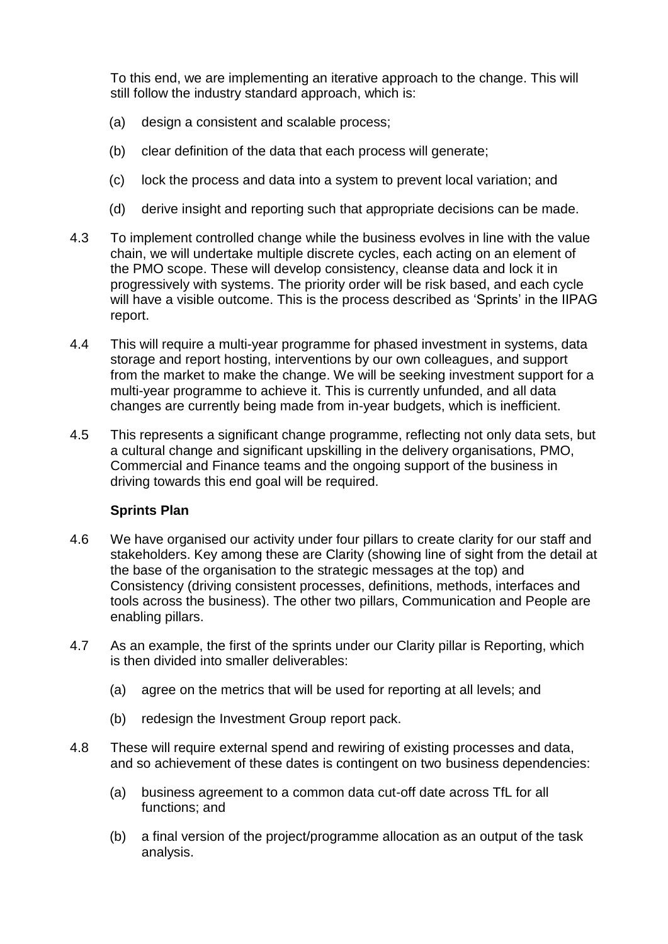To this end, we are implementing an iterative approach to the change. This will still follow the industry standard approach, which is:

- (a) design a consistent and scalable process;
- (b) clear definition of the data that each process will generate;
- (c) lock the process and data into a system to prevent local variation; and
- (d) derive insight and reporting such that appropriate decisions can be made.
- 4.3 To implement controlled change while the business evolves in line with the value chain, we will undertake multiple discrete cycles, each acting on an element of the PMO scope. These will develop consistency, cleanse data and lock it in progressively with systems. The priority order will be risk based, and each cycle will have a visible outcome. This is the process described as 'Sprints' in the IIPAG report.
- 4.4 This will require a multi-year programme for phased investment in systems, data storage and report hosting, interventions by our own colleagues, and support from the market to make the change. We will be seeking investment support for a multi-year programme to achieve it. This is currently unfunded, and all data changes are currently being made from in-year budgets, which is inefficient.
- 4.5 This represents a significant change programme, reflecting not only data sets, but a cultural change and significant upskilling in the delivery organisations, PMO, Commercial and Finance teams and the ongoing support of the business in driving towards this end goal will be required.

### **Sprints Plan**

- 4.6 We have organised our activity under four pillars to create clarity for our staff and stakeholders. Key among these are Clarity (showing line of sight from the detail at the base of the organisation to the strategic messages at the top) and Consistency (driving consistent processes, definitions, methods, interfaces and tools across the business). The other two pillars, Communication and People are enabling pillars.
- 4.7 As an example, the first of the sprints under our Clarity pillar is Reporting, which is then divided into smaller deliverables:
	- (a) agree on the metrics that will be used for reporting at all levels; and
	- (b) redesign the Investment Group report pack.
- 4.8 These will require external spend and rewiring of existing processes and data, and so achievement of these dates is contingent on two business dependencies:
	- (a) business agreement to a common data cut-off date across TfL for all functions; and
	- (b) a final version of the project/programme allocation as an output of the task analysis.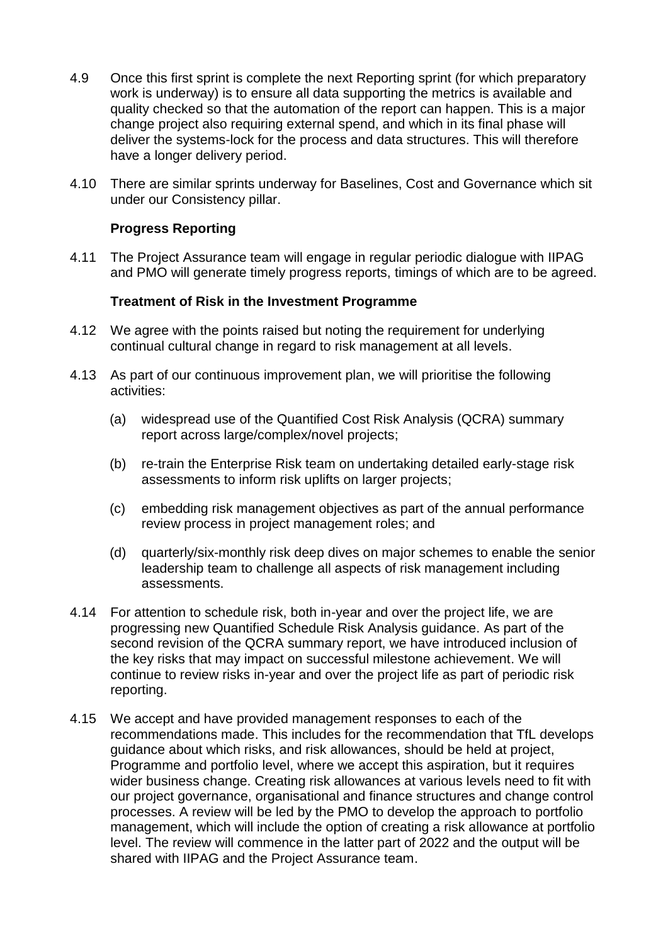- 4.9 Once this first sprint is complete the next Reporting sprint (for which preparatory work is underway) is to ensure all data supporting the metrics is available and quality checked so that the automation of the report can happen. This is a major change project also requiring external spend, and which in its final phase will deliver the systems-lock for the process and data structures. This will therefore have a longer delivery period.
- 4.10 There are similar sprints underway for Baselines, Cost and Governance which sit under our Consistency pillar.

#### **Progress Reporting**

4.11 The Project Assurance team will engage in regular periodic dialogue with IIPAG and PMO will generate timely progress reports, timings of which are to be agreed.

#### **Treatment of Risk in the Investment Programme**

- 4.12 We agree with the points raised but noting the requirement for underlying continual cultural change in regard to risk management at all levels.
- 4.13 As part of our continuous improvement plan, we will prioritise the following activities:
	- (a) widespread use of the Quantified Cost Risk Analysis (QCRA) summary report across large/complex/novel projects;
	- (b) re-train the Enterprise Risk team on undertaking detailed early-stage risk assessments to inform risk uplifts on larger projects;
	- (c) embedding risk management objectives as part of the annual performance review process in project management roles; and
	- (d) quarterly/six-monthly risk deep dives on major schemes to enable the senior leadership team to challenge all aspects of risk management including assessments.
- 4.14 For attention to schedule risk, both in-year and over the project life, we are progressing new Quantified Schedule Risk Analysis guidance. As part of the second revision of the QCRA summary report, we have introduced inclusion of the key risks that may impact on successful milestone achievement. We will continue to review risks in-year and over the project life as part of periodic risk reporting.
- 4.15 We accept and have provided management responses to each of the recommendations made. This includes for the recommendation that TfL develops guidance about which risks, and risk allowances, should be held at project, Programme and portfolio level, where we accept this aspiration, but it requires wider business change. Creating risk allowances at various levels need to fit with our project governance, organisational and finance structures and change control processes. A review will be led by the PMO to develop the approach to portfolio management, which will include the option of creating a risk allowance at portfolio level. The review will commence in the latter part of 2022 and the output will be shared with IIPAG and the Project Assurance team.